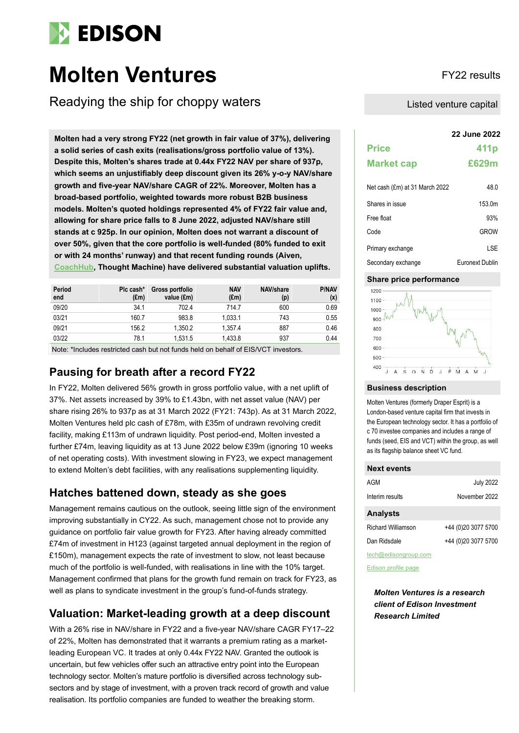

# **Molten Ventures** FY22 results

Readying the ship for choppy waters

**22 June 2022 Molten had a very strong FY22 (net growth in fair value of 37%), delivering a solid series of cash exits (realisations/gross portfolio value of 13%). Despite this, Molten's shares trade at 0.44x FY22 NAV per share of 937p, which seems an unjustifiably deep discount given its 26% y-o-y NAV/share growth and five-year NAV/share CAGR of 22%. Moreover, Molten has a broad-based portfolio, weighted towards more robust B2B business models. Molten's quoted holdings represented 4% of FY22 fair value and, allowing for share price falls to 8 June 2022, adjusted NAV/share still stands at c 925p. In our opinion, Molten does not warrant a discount of over 50%, given that the core portfolio is well-funded (80% funded to exit or with 24 months' runway) and that recent funding rounds (Aiven, [CoachHub,](https://www.coachhub.com/en/series-c-funding/) Thought Machine) have delivered substantial valuation uplifts.**

| Period<br>end | Plc cash*<br>$(\text{Em})$ | Gross portfolio<br>value (£m) | <b>NAV</b><br>$(\text{Em})$ | NAV/share<br>(p) | <b>P/NAV</b><br>(x) |
|---------------|----------------------------|-------------------------------|-----------------------------|------------------|---------------------|
| 09/20         | 34.1                       | 702.4                         | 714.7                       | 600              | 0.69                |
| 03/21         | 160.7                      | 983.8                         | 1.033.1                     | 743              | 0.55                |
| 09/21         | 156.2                      | 1.350.2                       | 1.357.4                     | 887              | 0.46                |
| 03/22         | 78.1                       | 1.531.5                       | 1.433.8                     | 937              | 0.44                |

Note: \*Includes restricted cash but not funds held on behalf of EIS/VCT investors.

### **Pausing for breath after a record FY22**

In FY22, Molten delivered 56% growth in gross portfolio value, with a net uplift of 37%. Net assets increased by 39% to £1.43bn, with net asset value (NAV) per share rising 26% to 937p as at 31 March 2022 (FY21: 743p). As at 31 March 2022, Molten Ventures held plc cash of £78m, with £35m of undrawn revolving credit facility, making £113m of undrawn liquidity. Post period-end, Molten invested a further £74m, leaving liquidity as at 13 June 2022 below £39m (ignoring 10 weeks of net operating costs). With investment slowing in FY23, we expect management to extend Molten's debt facilities, with any realisations supplementing liquidity.

### **Hatches battened down, steady as she goes**

Management remains cautious on the outlook, seeing little sign of the environment improving substantially in CY22. As such, management chose not to provide any guidance on portfolio fair value growth for FY23. After having already committed £74m of investment in H123 (against targeted annual deployment in the region of £150m), management expects the rate of investment to slow, not least because much of the portfolio is well-funded, with realisations in line with the 10% target. Management confirmed that plans for the growth fund remain on track for FY23, as well as plans to syndicate investment in the group's fund-of-funds strategy.

### **Valuation: Market-leading growth at a deep discount**

With a 26% rise in NAV/share in FY22 and a five-year NAV/share CAGR FY17–22 of 22%, Molten has demonstrated that it warrants a premium rating as a marketleading European VC. It trades at only 0.44x FY22 NAV. Granted the outlook is uncertain, but few vehicles offer such an attractive entry point into the European technology sector. Molten's mature portfolio is diversified across technology subsectors and by stage of investment, with a proven track record of growth and value realisation. Its portfolio companies are funded to weather the breaking storm.

Listed venture capital

| <b>Price</b>                        | 411 <sub>p</sub> |
|-------------------------------------|------------------|
| <b>Market cap</b>                   | £629m            |
| Net cash (£m) at 31 March 2022      | 48.0             |
| $\bigcap L$ is a set of the form of |                  |

| Shares in issue    | 153.0m          |
|--------------------|-----------------|
| Free float         | 93%             |
| Code               | <b>GROW</b>     |
| Primary exchange   | LSE             |
| Secondary exchange | Euronext Dublin |

### **Share price performance**



### **Business description**

Molten Ventures (formerly Draper Esprit) is a London-based venture capital firm that invests in the European technology sector. It has a portfolio of c 70 investee companies and includes a range of funds (seed, EIS and VCT) within the group, as well as its flagship balance sheet VC fund.

| <b>Next events</b>        |                     |
|---------------------------|---------------------|
| AGM                       | <b>July 2022</b>    |
| Interim results           | November 2022       |
| <b>Analysts</b>           |                     |
| <b>Richard Williamson</b> | +44 (0)20 3077 5700 |
| Dan Ridsdale              | +44 (0)20 3077 5700 |
| tech@edisongroup.com      |                     |

[Edison profile page](https://www.edisongroup.com/company/molten-ventures/)

*Molten Ventures is a research client of Edison Investment Research Limited*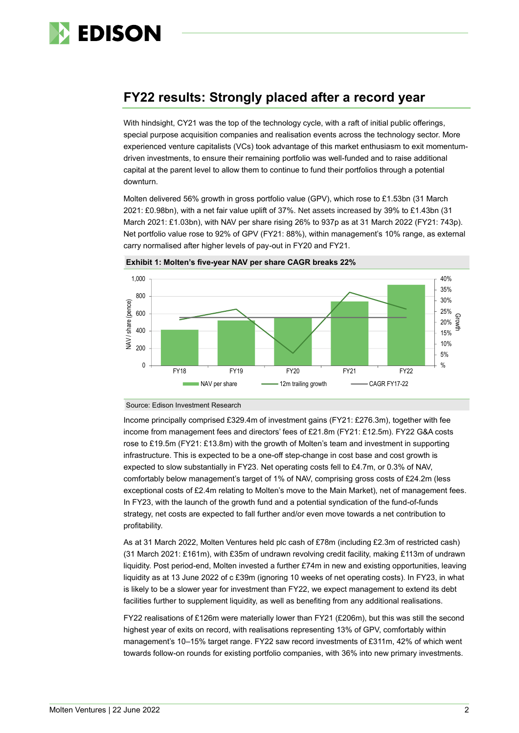

## **FY22 results: Strongly placed after a record year**

With hindsight, CY21 was the top of the technology cycle, with a raft of initial public offerings, special purpose acquisition companies and realisation events across the technology sector. More experienced venture capitalists (VCs) took advantage of this market enthusiasm to exit momentumdriven investments, to ensure their remaining portfolio was well-funded and to raise additional capital at the parent level to allow them to continue to fund their portfolios through a potential downturn.

Molten delivered 56% growth in gross portfolio value (GPV), which rose to £1.53bn (31 March 2021: £0.98bn), with a net fair value uplift of 37%. Net assets increased by 39% to £1.43bn (31 March 2021: £1.03bn), with NAV per share rising 26% to 937p as at 31 March 2022 (FY21: 743p). Net portfolio value rose to 92% of GPV (FY21: 88%), within management's 10% range, as external carry normalised after higher levels of pay-out in FY20 and FY21.



**Exhibit 1: Molten's five-year NAV per share CAGR breaks 22%**

Source: Edison Investment Research

Income principally comprised £329.4m of investment gains (FY21: £276.3m), together with fee income from management fees and directors' fees of £21.8m (FY21: £12.5m). FY22 G&A costs rose to £19.5m (FY21: £13.8m) with the growth of Molten's team and investment in supporting infrastructure. This is expected to be a one-off step-change in cost base and cost growth is expected to slow substantially in FY23. Net operating costs fell to £4.7m, or 0.3% of NAV, comfortably below management's target of 1% of NAV, comprising gross costs of £24.2m (less exceptional costs of £2.4m relating to Molten's move to the Main Market), net of management fees. In FY23, with the launch of the growth fund and a potential syndication of the fund-of-funds strategy, net costs are expected to fall further and/or even move towards a net contribution to profitability.

As at 31 March 2022, Molten Ventures held plc cash of £78m (including £2.3m of restricted cash) (31 March 2021: £161m), with £35m of undrawn revolving credit facility, making £113m of undrawn liquidity. Post period-end, Molten invested a further £74m in new and existing opportunities, leaving liquidity as at 13 June 2022 of c £39m (ignoring 10 weeks of net operating costs). In FY23, in what is likely to be a slower year for investment than FY22, we expect management to extend its debt facilities further to supplement liquidity, as well as benefiting from any additional realisations.

FY22 realisations of £126m were materially lower than FY21 (£206m), but this was still the second highest year of exits on record, with realisations representing 13% of GPV, comfortably within management's 10–15% target range. FY22 saw record investments of £311m, 42% of which went towards follow-on rounds for existing portfolio companies, with 36% into new primary investments.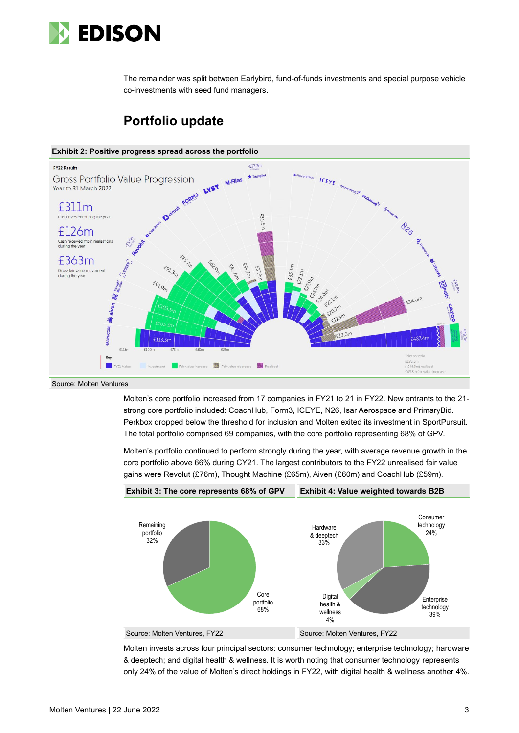

The remainder was split between Earlybird, fund-of-funds investments and special purpose vehicle co-investments with seed fund managers.



### **Portfolio update**

Source: Molten Ventures

Molten's core portfolio increased from 17 companies in FY21 to 21 in FY22. New entrants to the 21 strong core portfolio included: CoachHub, Form3, ICEYE, N26, Isar Aerospace and PrimaryBid. Perkbox dropped below the threshold for inclusion and Molten exited its investment in SportPursuit. The total portfolio comprised 69 companies, with the core portfolio representing 68% of GPV.

Molten's portfolio continued to perform strongly during the year, with average revenue growth in the core portfolio above 66% during CY21. The largest contributors to the FY22 unrealised fair value gains were Revolut (£76m), Thought Machine (£65m), Aiven (£60m) and CoachHub (£59m).



Molten invests across four principal sectors: consumer technology; enterprise technology; hardware & deeptech; and digital health & wellness. It is worth noting that consumer technology represents only 24% of the value of Molten's direct holdings in FY22, with digital health & wellness another 4%.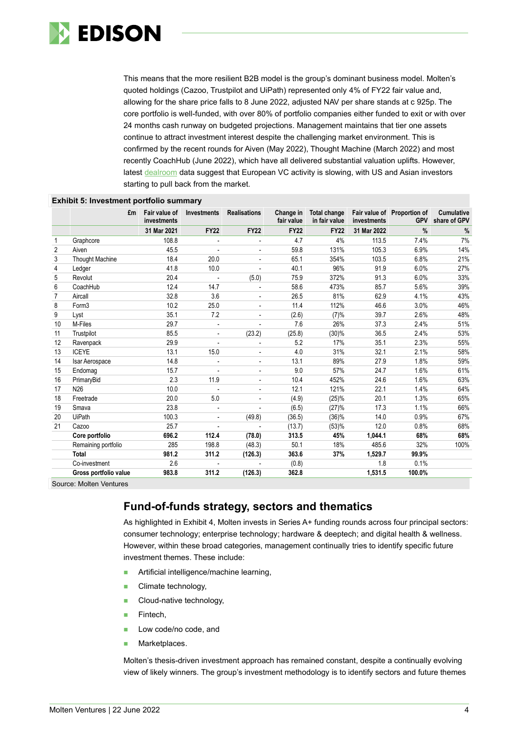

This means that the more resilient B2B model is the group's dominant business model. Molten's quoted holdings (Cazoo, Trustpilot and UiPath) represented only 4% of FY22 fair value and, allowing for the share price falls to 8 June 2022, adjusted NAV per share stands at c 925p. The core portfolio is well-funded, with over 80% of portfolio companies either funded to exit or with over 24 months cash runway on budgeted projections. Management maintains that tier one assets continue to attract investment interest despite the challenging market environment. This is confirmed by the recent rounds for Aiven (May 2022), Thought Machine (March 2022) and most recently CoachHub (June 2022), which have all delivered substantial valuation uplifts. However, latest [dealroom](https://dealroom.co/uploaded/2022/06/Allocate.gp-May-2022-Keynote.pdf) data suggest that European VC activity is slowing, with US and Asian investors starting to pull back from the market.

|                | £m                     | Fair value of<br>investments | Investments              | <b>Realisations</b>      | Change in<br>fair value | Total change<br>in fair value | investments | Fair value of Proportion of<br><b>GPV</b> | <b>Cumulative</b><br>share of GPV |
|----------------|------------------------|------------------------------|--------------------------|--------------------------|-------------------------|-------------------------------|-------------|-------------------------------------------|-----------------------------------|
|                |                        | 31 Mar 2021                  | <b>FY22</b>              | <b>FY22</b>              | <b>FY22</b>             | <b>FY22</b>                   | 31 Mar 2022 | $\frac{9}{6}$                             | $\%$                              |
|                | Graphcore              | 108.8                        |                          |                          | 4.7                     | 4%                            | 113.5       | 7.4%                                      | 7%                                |
| $\overline{2}$ | Aiven                  | 45.5                         | $\overline{\phantom{a}}$ | $\overline{\phantom{a}}$ | 59.8                    | 131%                          | 105.3       | 6.9%                                      | 14%                               |
| 3              | <b>Thought Machine</b> | 18.4                         | 20.0                     |                          | 65.1                    | 354%                          | 103.5       | 6.8%                                      | 21%                               |
| 4              | Ledger                 | 41.8                         | 10.0                     |                          | 40.1                    | 96%                           | 91.9        | 6.0%                                      | 27%                               |
| 5              | Revolut                | 20.4                         |                          | (5.0)                    | 75.9                    | 372%                          | 91.3        | 6.0%                                      | 33%                               |
| 6              | CoachHub               | 12.4                         | 14.7                     |                          | 58.6                    | 473%                          | 85.7        | 5.6%                                      | 39%                               |
| $\overline{7}$ | Aircall                | 32.8                         | 3.6                      | $\overline{a}$           | 26.5                    | 81%                           | 62.9        | 4.1%                                      | 43%                               |
| 8              | Form <sub>3</sub>      | 10.2                         | 25.0                     | $\overline{\phantom{a}}$ | 11.4                    | 112%                          | 46.6        | 3.0%                                      | 46%                               |
| 9              | Lyst                   | 35.1                         | 7.2                      |                          | (2.6)                   | (7)%                          | 39.7        | 2.6%                                      | 48%                               |
| 10             | M-Files                | 29.7                         | $\overline{\phantom{a}}$ |                          | 7.6                     | 26%                           | 37.3        | 2.4%                                      | 51%                               |
| 11             | Trustpilot             | 85.5                         |                          | (23.2)                   | (25.8)                  | (30)%                         | 36.5        | 2.4%                                      | 53%                               |
| 12             | Ravenpack              | 29.9                         |                          | $\overline{\phantom{a}}$ | 5.2                     | 17%                           | 35.1        | 2.3%                                      | 55%                               |
| 13             | <b>ICEYE</b>           | 13.1                         | 15.0                     |                          | 4.0                     | 31%                           | 32.1        | 2.1%                                      | 58%                               |
| 14             | Isar Aerospace         | 14.8                         |                          | $\overline{\phantom{a}}$ | 13.1                    | 89%                           | 27.9        | 1.8%                                      | 59%                               |
| 15             | Endomag                | 15.7                         |                          |                          | 9.0                     | 57%                           | 24.7        | 1.6%                                      | 61%                               |
| 16             | PrimaryBid             | 2.3                          | 11.9                     | $\overline{\phantom{a}}$ | 10.4                    | 452%                          | 24.6        | 1.6%                                      | 63%                               |
| 17             | N <sub>26</sub>        | 10.0                         |                          |                          | 12.1                    | 121%                          | 22.1        | 1.4%                                      | 64%                               |
| 18             | Freetrade              | 20.0                         | 5.0                      | $\overline{\phantom{a}}$ | (4.9)                   | (25)%                         | 20.1        | 1.3%                                      | 65%                               |
| 19             | Smaya                  | 23.8                         |                          |                          | (6.5)                   | (27)%                         | 17.3        | 1.1%                                      | 66%                               |
| 20             | <b>UiPath</b>          | 100.3                        |                          | (49.8)                   | (36.5)                  | (36)%                         | 14.0        | 0.9%                                      | 67%                               |
| 21             | Cazoo                  | 25.7                         |                          | $\overline{a}$           | (13.7)                  | (53)%                         | 12.0        | 0.8%                                      | 68%                               |
|                | Core portfolio         | 696.2                        | 112.4                    | (78.0)                   | 313.5                   | 45%                           | 1,044.1     | 68%                                       | 68%                               |
|                | Remaining portfolio    | 285                          | 198.8                    | (48.3)                   | 50.1                    | 18%                           | 485.6       | 32%                                       | 100%                              |
|                | <b>Total</b>           | 981.2                        | 311.2                    | (126.3)                  | 363.6                   | 37%                           | 1,529.7     | 99.9%                                     |                                   |
|                | Co-investment          | 2.6                          |                          |                          | (0.8)                   |                               | 1.8         | 0.1%                                      |                                   |
|                | Gross portfolio value  | 983.8                        | 311.2                    | (126.3)                  | 362.8                   |                               | 1,531.5     | 100.0%                                    |                                   |

**Exhibit 5: Investment portfolio summary**

Source: Molten Ventures

### **Fund-of-funds strategy, sectors and thematics**

As highlighted in Exhibit 4, Molten invests in Series A+ funding rounds across four principal sectors: consumer technology; enterprise technology; hardware & deeptech; and digital health & wellness. However, within these broad categories, management continually tries to identify specific future investment themes. These include:

- Artificial intelligence/machine learning,
- Climate technology,
- Cloud-native technology,
- Fintech,
- Low code/no code, and
- Marketplaces.

Molten's thesis-driven investment approach has remained constant, despite a continually evolving view of likely winners. The group's investment methodology is to identify sectors and future themes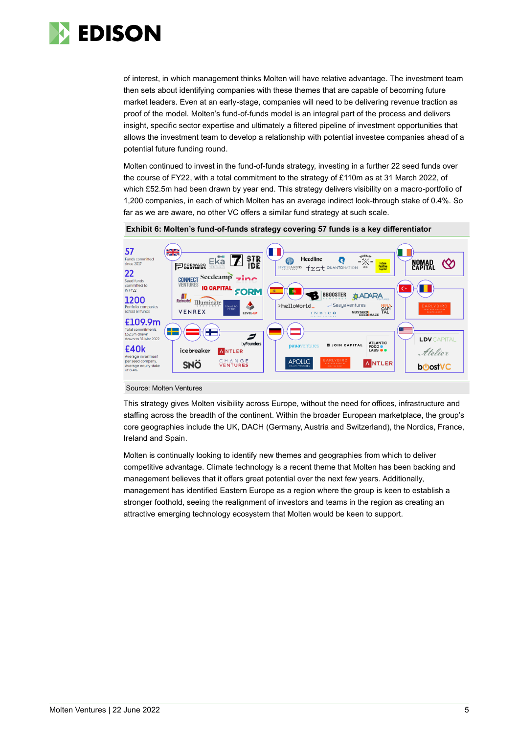

of interest, in which management thinks Molten will have relative advantage. The investment team then sets about identifying companies with these themes that are capable of becoming future market leaders. Even at an early-stage, companies will need to be delivering revenue traction as proof of the model. Molten's fund-of-funds model is an integral part of the process and delivers insight, specific sector expertise and ultimately a filtered pipeline of investment opportunities that allows the investment team to develop a relationship with potential investee companies ahead of a potential future funding round.

Molten continued to invest in the fund-of-funds strategy, investing in a further 22 seed funds over the course of FY22, with a total commitment to the strategy of £110m as at 31 March 2022, of which £52.5m had been drawn by year end. This strategy delivers visibility on a macro-portfolio of 1,200 companies, in each of which Molten has an average indirect look-through stake of 0.4%. So far as we are aware, no other VC offers a similar fund strategy at such scale.



**Exhibit 6: Molten's fund-of-funds strategy covering 57 funds is a key differentiator**

#### Source: Molten Ventures

This strategy gives Molten visibility across Europe, without the need for offices, infrastructure and staffing across the breadth of the continent. Within the broader European marketplace, the group's core geographies include the UK, DACH (Germany, Austria and Switzerland), the Nordics, France, Ireland and Spain.

Molten is continually looking to identify new themes and geographies from which to deliver competitive advantage. Climate technology is a recent theme that Molten has been backing and management believes that it offers great potential over the next few years. Additionally, management has identified Eastern Europe as a region where the group is keen to establish a stronger foothold, seeing the realignment of investors and teams in the region as creating an attractive emerging technology ecosystem that Molten would be keen to support.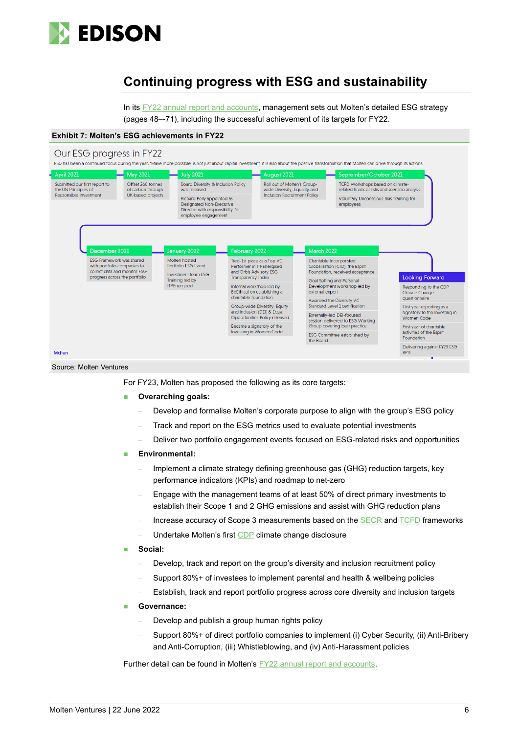

## **Continuing progress with ESG and sustainability**

In its [FY22 annual report and accounts,](https://investors.moltenventures.com/storage/uploads/PLC/Results-and-Reports/Molten%20Ventures%20plc%20Group%20Annual%20Report%20year%20ended%2031%20March%202022.pdf) management sets out Molten's detailed ESG strategy (pages 48–-71), including the successful achievement of its targets for FY22.

#### **Exhibit 7: Molten's ESG achievements in FY22**



Source: Molten Ventures

For FY23, Molten has proposed the following as its core targets:

- **Overarching goals:** 
	- Develop and formalise Molten's corporate purpose to align with the group's ESG policy
	- Track and report on the ESG metrics used to evaluate potential investments
	- Deliver two portfolio engagement events focused on ESG-related risks and opportunities
- Environmental:
	- Implement a climate strategy defining greenhouse gas (GHG) reduction targets, key performance indicators (KPIs) and roadmap to net-zero
	- Engage with the management teams of at least 50% of direct primary investments to establish their Scope 1 and 2 GHG emissions and assist with GHG reduction plans
	- Increase accuracy of Scope 3 measurements based on th[e SECR](https://www.carbontrust.com/news-and-events/insights/secr-explained-streamlined-energy-carbon-reporting-framework-for-uk) an[d TCFD](https://www.fsb-tcfd.org/) frameworks
	- Undertake Molten's firs[t CDP](https://www.cdp.net/en) climate change disclosure

#### Social:

- Develop, track and report on the group's diversity and inclusion recruitment policy
- Support 80%+ of investees to implement parental and health & wellbeing policies
- Establish, track and report portfolio progress across core diversity and inclusion targets
- Governance:
	- Develop and publish a group human rights policy
	- Support 80%+ of direct portfolio companies to implement (i) Cyber Security, (ii) Anti-Bribery and Anti-Corruption, (iii) Whistleblowing, and (iv) Anti-Harassment policies

Further detail can be found in Molten's [FY22 annual report and accounts.](https://investors.moltenventures.com/storage/uploads/PLC/Results-and-Reports/Molten%20Ventures%20plc%20Group%20Annual%20Report%20year%20ended%2031%20March%202022.pdf)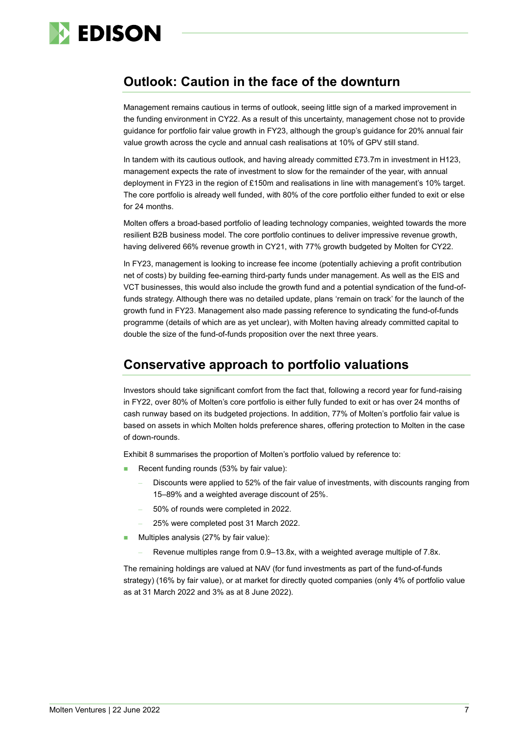

### **Outlook: Caution in the face of the downturn**

Management remains cautious in terms of outlook, seeing little sign of a marked improvement in the funding environment in CY22. As a result of this uncertainty, management chose not to provide guidance for portfolio fair value growth in FY23, although the group's guidance for 20% annual fair value growth across the cycle and annual cash realisations at 10% of GPV still stand.

In tandem with its cautious outlook, and having already committed £73.7m in investment in H123, management expects the rate of investment to slow for the remainder of the year, with annual deployment in FY23 in the region of £150m and realisations in line with management's 10% target. The core portfolio is already well funded, with 80% of the core portfolio either funded to exit or else for 24 months.

Molten offers a broad-based portfolio of leading technology companies, weighted towards the more resilient B2B business model. The core portfolio continues to deliver impressive revenue growth, having delivered 66% revenue growth in CY21, with 77% growth budgeted by Molten for CY22.

In FY23, management is looking to increase fee income (potentially achieving a profit contribution net of costs) by building fee-earning third-party funds under management. As well as the EIS and VCT businesses, this would also include the growth fund and a potential syndication of the fund-offunds strategy. Although there was no detailed update, plans 'remain on track' for the launch of the growth fund in FY23. Management also made passing reference to syndicating the fund-of-funds programme (details of which are as yet unclear), with Molten having already committed capital to double the size of the fund-of-funds proposition over the next three years.

### **Conservative approach to portfolio valuations**

Investors should take significant comfort from the fact that, following a record year for fund-raising in FY22, over 80% of Molten's core portfolio is either fully funded to exit or has over 24 months of cash runway based on its budgeted projections. In addition, 77% of Molten's portfolio fair value is based on assets in which Molten holds preference shares, offering protection to Molten in the case of down-rounds.

Exhibit 8 summarises the proportion of Molten's portfolio valued by reference to:

- Recent funding rounds (53% by fair value):
	- Discounts were applied to 52% of the fair value of investments, with discounts ranging from 15–89% and a weighted average discount of 25%.
	- 50% of rounds were completed in 2022.
	- 25% were completed post 31 March 2022.
- Multiples analysis (27% by fair value):
	- Revenue multiples range from 0.9–13.8x, with a weighted average multiple of 7.8x.

The remaining holdings are valued at NAV (for fund investments as part of the fund-of-funds strategy) (16% by fair value), or at market for directly quoted companies (only 4% of portfolio value as at 31 March 2022 and 3% as at 8 June 2022).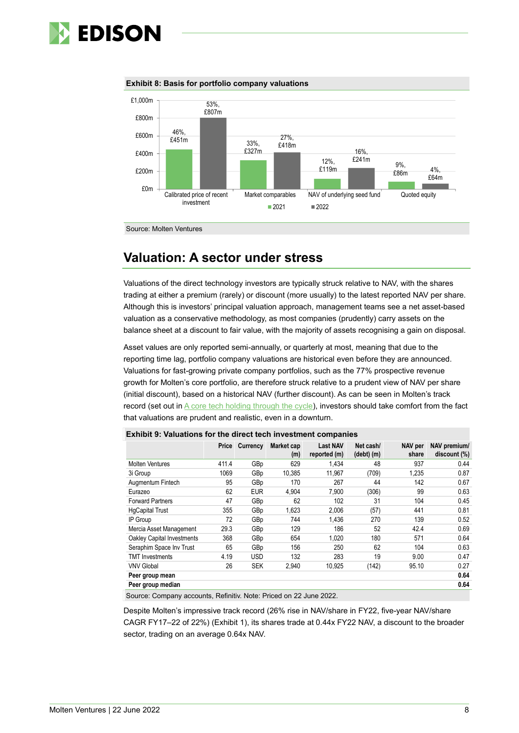





Source: Molten Ventures

## **Valuation: A sector under stress**

Valuations of the direct technology investors are typically struck relative to NAV, with the shares trading at either a premium (rarely) or discount (more usually) to the latest reported NAV per share. Although this is investors' principal valuation approach, management teams see a net asset-based valuation as a conservative methodology, as most companies (prudently) carry assets on the balance sheet at a discount to fair value, with the majority of assets recognising a gain on disposal.

Asset values are only reported semi-annually, or quarterly at most, meaning that due to the reporting time lag, portfolio company valuations are historical even before they are announced. Valuations for fast-growing private company portfolios, such as the 77% prospective revenue growth for Molten's core portfolio, are therefore struck relative to a prudent view of NAV per share (initial discount), based on a historical NAV (further discount). As can be seen in Molten's track record (set out i[n A core tech holding through the cycle\)](https://www.edisongroup.com/publication/a-core-tech-holding-through-the-cycle/30634/), investors should take comfort from the fact that valuations are prudent and realistic, even in a downturn.

|                            | Price | Currency   | Market cap<br>(m) | <b>Last NAV</b><br>reported (m) | Net cash/<br>$(debt)$ $(m)$ | NAV per<br>share | NAV premium/<br>discount (%) |
|----------------------------|-------|------------|-------------------|---------------------------------|-----------------------------|------------------|------------------------------|
| <b>Molten Ventures</b>     | 411.4 | GBp        | 629               | 1.434                           | 48                          | 937              | 0.44                         |
| 3i Group                   | 1069  | GBp        | 10,385            | 11,967                          | (709)                       | 1,235            | 0.87                         |
| Augmentum Fintech          | 95    | GBp        | 170               | 267                             | 44                          | 142              | 0.67                         |
| Eurazeo                    | 62    | <b>EUR</b> | 4.904             | 7,900                           | (306)                       | 99               | 0.63                         |
| <b>Forward Partners</b>    | 47    | GBp        | 62                | 102                             | 31                          | 104              | 0.45                         |
| <b>HgCapital Trust</b>     | 355   | GBp        | 1,623             | 2,006                           | (57)                        | 441              | 0.81                         |
| IP Group                   | 72    | GBp        | 744               | 1.436                           | 270                         | 139              | 0.52                         |
| Mercia Asset Management    | 29.3  | GBp        | 129               | 186                             | 52                          | 42.4             | 0.69                         |
| Oakley Capital Investments | 368   | GBp        | 654               | 1.020                           | 180                         | 571              | 0.64                         |
| Seraphim Space Inv Trust   | 65    | GBp        | 156               | 250                             | 62                          | 104              | 0.63                         |
| <b>TMT</b> Investments     | 4.19  | <b>USD</b> | 132               | 283                             | 19                          | 9.00             | 0.47                         |
| <b>VNV Global</b>          | 26    | <b>SEK</b> | 2,940             | 10,925                          | (142)                       | 95.10            | 0.27                         |
| Peer group mean            |       |            |                   |                                 |                             |                  | 0.64                         |
| Peer group median          |       |            |                   |                                 |                             |                  | 0.64                         |

**Exhibit 9: Valuations for the direct tech investment companies**

Source: Company accounts, Refinitiv. Note: Priced on 22 June 2022.

Despite Molten's impressive track record (26% rise in NAV/share in FY22, five-year NAV/share CAGR FY17–22 of 22%) (Exhibit 1), its shares trade at 0.44x FY22 NAV, a discount to the broader sector, trading on an average 0.64x NAV.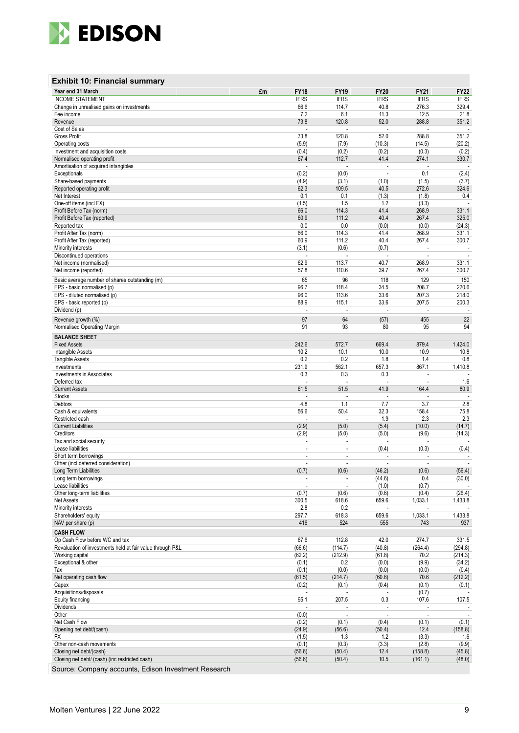

#### **Exhibit 10 : Financial summary**

| Year end 31 March                                         | £m | <b>FY18</b>              | <b>FY19</b>                                | <b>FY20</b>              | FY21                     | <b>FY22</b>              |
|-----------------------------------------------------------|----|--------------------------|--------------------------------------------|--------------------------|--------------------------|--------------------------|
| <b>INCOME STATEMENT</b>                                   |    | <b>IFRS</b>              | <b>IFRS</b>                                | <b>IFRS</b>              | <b>IFRS</b>              | <b>IFRS</b>              |
| Change in unrealised gains on investments                 |    | 66.6                     | 114.7                                      | 40.8                     | 276.3                    | 329.4                    |
| Fee income                                                |    | 7.2                      | 6.1                                        | 11.3                     | 12.5                     | 21.8                     |
| Revenue                                                   |    | 73.8                     | 120.8                                      | 52.0                     | 288.8                    | 351.2                    |
| Cost of Sales                                             |    | ÷.                       | $\overline{\phantom{a}}$                   | $\sim$                   | ÷,                       |                          |
| <b>Gross Profit</b>                                       |    | 73.8                     | 120.8                                      | 52.0                     | 288.8                    | 351.2                    |
| Operating costs                                           |    | (5.9)                    | (7.9)                                      | (10.3)                   | (14.5)                   | (20.2)                   |
| Investment and acquisition costs                          |    | (0.4)                    | (0.2)                                      | (0.2)                    | (0.3)                    | (0.2)                    |
| Normalised operating profit                               |    | 67.4                     | 112.7                                      | 41.4                     | 274.1                    | 330.7                    |
| Amortisation of acquired intangibles                      |    |                          | ÷,                                         | L,                       |                          |                          |
| Exceptionals                                              |    | (0.2)                    | (0.0)                                      | $\overline{\phantom{a}}$ | 0.1                      | (2.4)                    |
| Share-based payments                                      |    | (4.9)                    | (3.1)                                      | (1.0)                    | (1.5)                    | (3.7)                    |
| Reported operating profit                                 |    | 62.3                     | 109.5                                      | 40.5                     | 272.6                    | 324.6                    |
| Net Interest                                              |    | 0.1                      | 0.1                                        | (1.3)                    | (1.8)                    | 0.4                      |
| One-off items (incl FX)                                   |    | (1.5)                    | 1.5                                        | 1.2                      | (3.3)                    | $\overline{\phantom{a}}$ |
| Profit Before Tax (norm)                                  |    | 66.0                     | 114.3<br>111.2                             | 41.4<br>40.4             | 268.9<br>267.4           | 331.1                    |
| Profit Before Tax (reported)                              |    | 60.9<br>0.0              | 0.0                                        | (0.0)                    | (0.0)                    | 325.0                    |
| Reported tax<br>Profit After Tax (norm)                   |    | 66.0                     | 114.3                                      | 41.4                     | 268.9                    | (24.3)<br>331.1          |
| Profit After Tax (reported)                               |    | 60.9                     | 111.2                                      | 40.4                     | 267.4                    | 300.7                    |
| Minority interests                                        |    | (3.1)                    | (0.6)                                      | (0.7)                    | $\overline{\phantom{a}}$ | $\overline{\phantom{a}}$ |
| Discontinued operations                                   |    | $\overline{\phantom{a}}$ |                                            | $\overline{a}$           | $\overline{a}$           |                          |
| Net income (normalised)                                   |    | 62.9                     | 113.7                                      | 40.7                     | 268.9                    | 331.1                    |
| Net income (reported)                                     |    | 57.8                     | 110.6                                      | 39.7                     | 267.4                    | 300.7                    |
|                                                           |    |                          |                                            |                          |                          |                          |
| Basic average number of shares outstanding (m)            |    | 65                       | 96                                         | 118                      | 129                      | 150                      |
| EPS - basic normalised (p)                                |    | 96.7                     | 118.4                                      | 34.5                     | 208.7                    | 220.6                    |
| EPS - diluted normalised (p)                              |    | 96.0                     | 113.6                                      | 33.6                     | 207.3                    | 218.0                    |
| EPS - basic reported (p)                                  |    | 88.9<br>J.               | 115.1                                      | 33.6<br>÷,               | 207.5                    | 200.3                    |
| Dividend (p)                                              |    |                          |                                            |                          |                          |                          |
| Revenue growth (%)                                        |    | 97                       | 64                                         | (57)                     | 455                      | 22                       |
| Normalised Operating Margin                               |    | 91                       | 93                                         | 80                       | 95                       | 94                       |
| <b>BALANCE SHEET</b>                                      |    |                          |                                            |                          |                          |                          |
| <b>Fixed Assets</b>                                       |    | 242.6                    | 572.7                                      | 669.4                    | 879.4                    | 1,424.0                  |
| Intangible Assets                                         |    | 10.2                     | 10.1                                       | 10.0                     | 10.9                     | 10.8                     |
| <b>Tangible Assets</b>                                    |    | 0.2                      | 0.2                                        | 1.8                      | 1.4                      | 0.8                      |
| Investments                                               |    | 231.9                    | 562.1                                      | 657.3                    | 867.1                    | 1,410.8                  |
| Investments in Associates                                 |    | 0.3                      | 0.3                                        | 0.3                      |                          |                          |
| Deferred tax                                              |    | J.                       | ÷,                                         | Ĭ.                       | ÷.                       | 1.6                      |
| <b>Current Assets</b>                                     |    | 61.5                     | 51.5                                       | 41.9                     | 164.4                    | 80.9                     |
| Stocks                                                    |    |                          |                                            | ÷,                       |                          |                          |
| <b>Debtors</b>                                            |    | 4.8                      | 1.1                                        | 7.7                      | 3.7                      | 2.8                      |
| Cash & equivalents                                        |    | 56.6                     | 50.4                                       | 32.3                     | 158.4                    | 75.8                     |
| Restricted cash                                           |    |                          |                                            | 1.9                      | 2.3                      | 2.3                      |
| <b>Current Liabilities</b>                                |    | (2.9)                    | (5.0)                                      | (5.4)                    | (10.0)                   | (14.7)                   |
| Creditors                                                 |    | (2.9)<br>÷,              | (5.0)                                      | (5.0)                    | (9.6)                    | (14.3)                   |
| Tax and social security<br>Lease liabilities              |    | $\overline{a}$           | $\overline{\phantom{a}}$<br>$\overline{a}$ | (0.4)                    | (0.3)                    | (0.4)                    |
| Short term borrowings                                     |    | $\overline{a}$           | $\overline{\phantom{a}}$                   |                          |                          |                          |
| Other (incl deferred consideration)                       |    | ÷.                       | ÷,                                         |                          | $\overline{a}$           |                          |
| Long Term Liabilities                                     |    | (0.7)                    | (0.6)                                      | (46.2)                   | (0.6)                    | (56.4)                   |
| Long term borrowings                                      |    |                          |                                            | (44.6)                   | 0.4                      | (30.0)                   |
| Lease liabilities                                         |    | $\sim$                   | $\overline{a}$                             | (1.0)                    | (0.7)                    |                          |
| Other long-term liabilities                               |    | (0.7)                    | (0.6)                                      | (0.6)                    | (0.4)                    | (26.4)                   |
| <b>Net Assets</b>                                         |    | 300.5                    | 618.6                                      | 659.6                    | 1,033.1                  | 1,433.8                  |
| Minority interests                                        |    | 2.8                      | 0.2                                        |                          |                          |                          |
| Shareholders' equity                                      |    | 297.7                    | 618.3                                      | 659.6                    | 1,033.1                  | 1,433.8                  |
| NAV per share (p)                                         |    | 416                      | 524                                        | 555                      | 743                      | 937                      |
| <b>CASH FLOW</b>                                          |    |                          |                                            |                          |                          |                          |
| Op Cash Flow before WC and tax                            |    | 67.6                     | 112.8                                      | 42.0                     | 274.7                    | 331.5                    |
| Revaluation of investments held at fair value through P&L |    | (66.6)                   | (114.7)                                    | (40.8)                   | (264.4)                  | (294.8)                  |
| Working capital                                           |    | (62.2)                   | (212.9)                                    | (61.8)                   | 70.2                     | (214.3)                  |
| Exceptional & other                                       |    | (0.1)                    | 0.2                                        | (0.0)                    | (9.9)                    | (34.2)                   |
| Tax                                                       |    | (0.1)                    | (0.0)                                      | (0.0)                    | (0.0)                    | (0.4)                    |
| Net operating cash flow                                   |    | (61.5)                   | (214.7)                                    | (60.6)                   | 70.6                     | (212.2)                  |
| Capex                                                     |    | (0.2)                    | (0.1)                                      | (0.4)                    | (0.1)                    | (0.1)                    |
| Acquisitions/disposals                                    |    |                          |                                            |                          | (0.7)                    |                          |
| Equity financing                                          |    | 95.1                     | 207.5                                      | 0.3                      | 107.6                    | 107.5                    |
| <b>Dividends</b>                                          |    |                          |                                            |                          |                          |                          |
| Other                                                     |    | (0.0)                    |                                            | $\overline{\phantom{a}}$ |                          | $\sim$                   |
| Net Cash Flow                                             |    | (0.2)                    | (0.1)                                      | (0.4)                    | (0.1)                    | (0.1)                    |
| Opening net debt/(cash)                                   |    | (24.9)                   | (56.6)                                     | (50.4)                   | 12.4                     | (158.8)                  |
| FX                                                        |    | (1.5)                    | 1.3                                        | 1.2                      | (3.3)                    | 1.6                      |
| Other non-cash movements                                  |    | (0.1)                    | (0.3)                                      | (3.3)                    | (2.8)                    | (9.9)                    |
| Closing net debt/(cash)                                   |    | (56.6)                   | (50.4)                                     | 12.4                     | (158.8)                  | (45.8)                   |
| Closing net debt/ (cash) (inc restricted cash)            |    | (56.6)                   | (50.4)                                     | 10.5                     | (161.1)                  | (48.0)                   |

Source: Company accounts, Edison Investment Research